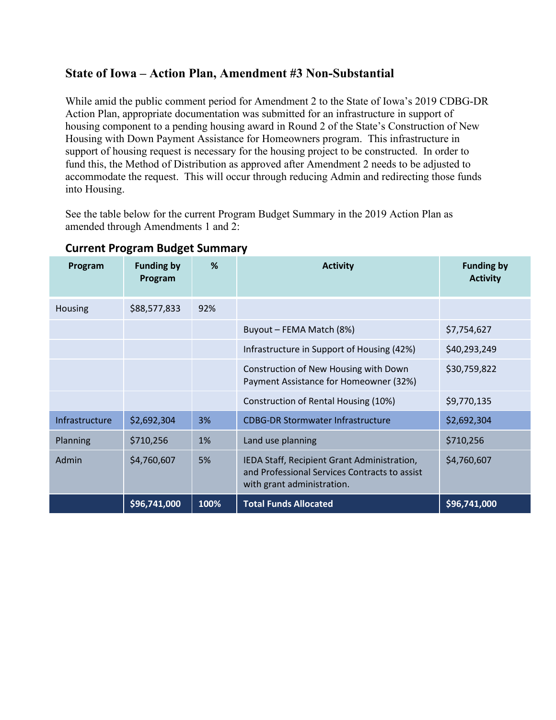## **State of Iowa – Action Plan, Amendment #3 Non-Substantial**

While amid the public comment period for Amendment 2 to the State of Iowa's 2019 CDBG-DR Action Plan, appropriate documentation was submitted for an infrastructure in support of housing component to a pending housing award in Round 2 of the State's Construction of New Housing with Down Payment Assistance for Homeowners program. This infrastructure in support of housing request is necessary for the housing project to be constructed. In order to fund this, the Method of Distribution as approved after Amendment 2 needs to be adjusted to accommodate the request. This will occur through reducing Admin and redirecting those funds into Housing.

See the table below for the current Program Budget Summary in the 2019 Action Plan as amended through Amendments 1 and 2:

| Program        | <b>Funding by</b><br>Program | %    | <b>Activity</b>                                                                                                            | <b>Funding by</b><br><b>Activity</b> |
|----------------|------------------------------|------|----------------------------------------------------------------------------------------------------------------------------|--------------------------------------|
| <b>Housing</b> | \$88,577,833                 | 92%  |                                                                                                                            |                                      |
|                |                              |      | Buyout - FEMA Match (8%)                                                                                                   | \$7,754,627                          |
|                |                              |      | Infrastructure in Support of Housing (42%)                                                                                 | \$40,293,249                         |
|                |                              |      | Construction of New Housing with Down<br>Payment Assistance for Homeowner (32%)                                            | \$30,759,822                         |
|                |                              |      | Construction of Rental Housing (10%)                                                                                       | \$9,770,135                          |
| Infrastructure | \$2,692,304                  | 3%   | <b>CDBG-DR Stormwater Infrastructure</b>                                                                                   | \$2,692,304                          |
| Planning       | \$710,256                    | 1%   | Land use planning                                                                                                          | \$710,256                            |
| Admin          | \$4,760,607                  | 5%   | IEDA Staff, Recipient Grant Administration,<br>and Professional Services Contracts to assist<br>with grant administration. | \$4,760,607                          |
|                | \$96,741,000                 | 100% | <b>Total Funds Allocated</b>                                                                                               | \$96,741,000                         |

## **Current Program Budget Summary**